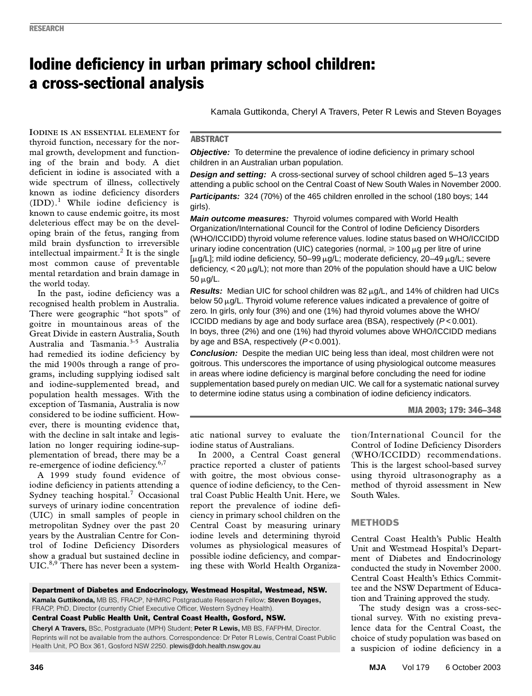# Iodine deficiency in urban primary school children: a cross-sectional analysis

deficient in iodine is associated with a wide spectrum of illness, collectively  $\frac{34}{10}$ known as iodine deficiency disorders  $(IDD).<sup>1</sup>$  While iodine deficiency is known to cause endemic goitre, its most **IODINE IS AN ESSENTIAL ELEMENT** for thyroid function, necessary for the normal growth, development and functioning of the brain and body. A diet deleterious effect may be on the developing brain of the fetus, ranging from mild brain dysfunction to irreversible intellectual impairment.<sup>2</sup> It is the single most common cause of preventable mental retardation and brain damage in the world today.

In the past, iodine deficiency was a recognised health problem in Australia. There were geographic "hot spots" of goitre in mountainous areas of the Great Divide in eastern Australia, South Australia and Tasmania.3-5 Australia had remedied its iodine deficiency by the mid 1900s through a range of programs, including supplying iodised salt and iodine-supplemented bread, and population health messages. With the exception of Tasmania, Australia is now considered to be iodine sufficient. However, there is mounting evidence that, with the decline in salt intake and legislation no longer requiring iodine-supplementation of bread, there may be a re-emergence of iodine deficiency.<sup>6,7</sup>

A 1999 study found evidence of iodine deficiency in patients attending a Sydney teaching hospital.<sup>7</sup> Occasional surveys of urinary iodine concentration (UIC) in small samples of people in metropolitan Sydney over the past 20 years by the Australian Centre for Control of Iodine Deficiency Disorders show a gradual but sustained decline in UIC.<sup>8,9</sup> There has never been a systemKamala Guttikonda, Cheryl A Travers, Peter R Lewis and Steven Boyages

## **ABSTRACT**

**Objective:** To determine the prevalence of iodine deficiency in primary school children in an Australian urban population.

**Design and setting:** A cross-sectional survey of school children aged 5–13 years attending a public school on the Central Coast of New South Wales in November 2000. **Participants:** 324 (70%) of the 465 children enrolled in the school (180 boys; 144 girls).

**Main outcome measures:** Thyroid volumes compared with World Health Organization/International Council for the Control of Iodine Deficiency Disorders (WHO/ICCIDD) thyroid volume reference values. Iodine status based on WHO/ICCIDD urinary iodine concentration (UIC) categories (normal,  $\geq 100 \mu$ g per litre of urine [ $\mu$ g/L]; mild iodine deficiency, 50–99  $\mu$ g/L; moderate deficiency, 20–49  $\mu$ g/L; severe deficiency,  $<$  20  $\mu$ g/L); not more than 20% of the population should have a UIC below 50 µg/L.

**Results:** Median UIC for school children was  $82 \mu g/L$ , and  $14\%$  of children had UICs below 50 µg/L. Thyroid volume reference values indicated a prevalence of goitre of zero. In girls, only four (3%) and one (1%) had thyroid volumes above the WHO/ ICCIDD medians by age and body surface area (BSA), respectively (P<0.001). In boys, three (2%) and one (1%) had thyroid volumes above WHO/ICCIDD medians by age and BSA, respectively  $(P < 0.001)$ .

**Conclusion:** Despite the median UIC being less than ideal, most children were not goitrous. This underscores the importance of using physiological outcome measures in areas where iodine deficiency is marginal before concluding the need for iodine supplementation based purely on median UIC. We call for a systematic national survey to determine iodine status using a combination of iodine deficiency indicators.

#### MJA 2003; 179: 346–348

atic national survey to evaluate the iodine status of Australians.

In 2000, a Central Coast general practice reported a cluster of patients with goitre, the most obvious consequence of iodine deficiency, to the Central Coast Public Health Unit. Here, we report the prevalence of iodine deficiency in primary school children on the Central Coast by measuring urinary iodine levels and determining thyroid volumes as physiological measures of possible iodine deficiency, and comparing these with World Health Organization/International Council for the Control of Iodine Deficiency Disorders (WHO/ICCIDD) recommendations. This is the largest school-based survey using thyroid ultrasonography as a method of thyroid assessment in New South Wales.

# **METHODS**

Central Coast Health's Public Health Unit and Westmead Hospital's Department of Diabetes and Endocrinology conducted the study in November 2000. Central Coast Health's Ethics Committee and the NSW Department of Education and Training approved the study.

The study design was a cross-sectional survey. With no existing prevalence data for the Central Coast, the choice of study population was based on a suspicion of iodine deficiency in a

Department of Diabetes and Endocrinology, Westmead Hospital, Westmead, NSW. **Kamala Guttikonda,** MB BS, FRACP, NHMRC Postgraduate Research Fellow; **Steven Boyages,**  FRACP, PhD, Director (currently Chief Executive Officer, Western Sydney Health).

Central Coast Public Health Unit, Central Coast Health, Gosford, NSW.

**Cheryl A Travers,** BSc, Postgraduate (MPH) Student; **Peter R Lewis,** MB BS, FAFPHM, Director. Reprints will not be available from the authors. Correspondence: Dr Peter R Lewis, Central Coast Public Health Unit, PO Box 361, Gosford NSW 2250. plewis@doh.health.nsw.gov.au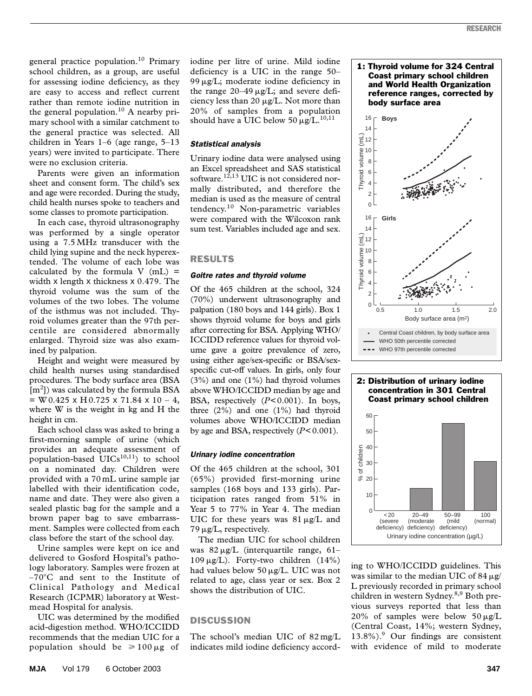general practice population.<sup>10</sup> Primary school children, as a group, are useful for assessing iodine deficiency, as they are easy to access and reflect current rather than remote iodine nutrition in the general population.<sup>10</sup> A nearby primary school with a similar catchment to the general practice was selected. All children in Years 1–6 (age range, 5–13 years) were invited to participate. There were no exclusion criteria.

Parents were given an information sheet and consent form. The child's sex and age were recorded. During the study, child health nurses spoke to teachers and some classes to promote participation.

In each case, thyroid ultrasonography was performed by a single operator using a 7.5 MHz transducer with the child lying supine and the neck hyperextended. The volume of each lobe was calculated by the formula  $V$  (mL) = width x length x thickness x 0.479. The thyroid volume was the sum of the volumes of the two lobes. The volume of the isthmus was not included. Thyroid volumes greater than the 97th percentile are considered abnormally enlarged. Thyroid size was also examined by palpation.

Height and weight were measured by child health nurses using standardised procedures. The body surface area (BSA [m<sup>2</sup>]) was calculated by the formula BSA  $= W 0.425 \times H 0.725 \times 71.84 \times 10 - 4$ , where W is the weight in kg and H the height in cm.

Each school class was asked to bring a first-morning sample of urine (which provides an adequate assessment of population-based  $UICs<sup>10,11</sup>$  to school on a nominated day. Children were provided with a 70 mL urine sample jar labelled with their identification code, name and date. They were also given a sealed plastic bag for the sample and a brown paper bag to save embarrassment. Samples were collected from each class before the start of the school day.

Urine samples were kept on ice and delivered to Gosford Hospital's pathology laboratory. Samples were frozen at  $-70^{\circ}$ C and sent to the Institute of Clinical Pathology and Medical Research (ICPMR) laboratory at Westmead Hospital for analysis.

UIC was determined by the modified acid-digestion method. WHO/ICCIDD recommends that the median UIC for a population should be  $\geq 100 \,\mu$ g of

iodine per litre of urine. Mild iodine deficiency is a UIC in the range 50– 99 µg/L; moderate iodine deficiency in the range  $20-49 \mu g/L$ ; and severe deficiency less than 20  $\mu$ g/L. Not more than 20% of samples from a population should have a UIC below 50  $\mu$ g/L.<sup>10,11</sup>

# *Statistical analysis*

Urinary iodine data were analysed using an Excel spreadsheet and SAS statistical software.<sup>12,13</sup> UIC is not considered normally distributed, and therefore the median is used as the measure of central tendency.10 Non-parametric variables were compared with the Wilcoxon rank sum test. Variables included age and sex.

## RESULTS

## *Goitre rates and thyroid volume*

Of the 465 children at the school, 324 (70%) underwent ultrasonography and palpation (180 boys and 144 girls). Box 1 shows thyroid volume for boys and girls after correcting for BSA. Applying WHO/ ICCIDD reference values for thyroid volume gave a goitre prevalence of zero, using either age/sex-specific or BSA/sexspecific cut-off values. In girls, only four  $(3\%)$  and one  $(1\%)$  had thyroid volumes above WHO/ICCIDD median by age and BSA, respectively (*P*<0.001). In boys, three (2%) and one (1%) had thyroid volumes above WHO/ICCIDD median by age and BSA, respectively  $(P<0.001)$ .

#### *Urinary iodine concentration*

Of the 465 children at the school, 301 (65%) provided first-morning urine samples (168 boys and 133 girls). Participation rates ranged from 51% in Year 5 to 77% in Year 4. The median UIC for these years was  $81 \mu g/L$  and  $79 \mu g/L$ , respectively.

The median UIC for school children was 82 µg/L (interquartile range, 61–  $109 \,\mu g/L$ ). Forty-two children (14%) had values below 50 µg/L. UIC was not related to age, class year or sex. Box 2 shows the distribution of UIC.

# **DISCUSSION**

The school's median UIC of 82 mg/L indicates mild iodine deficiency accord-



#### 2: Distribution of urinary iodine concentration in 301 Central Coast primary school children



ing to WHO/ICCIDD guidelines. This was similar to the median UIC of 84  $\mu$ g/ L previously recorded in primary school children in western Sydney.<sup>8,9</sup> Both previous surveys reported that less than 20% of samples were below  $50 \mu g/L$ (Central Coast, 14%; western Sydney, 13.8%).<sup>9</sup> Our findings are consistent with evidence of mild to moderate